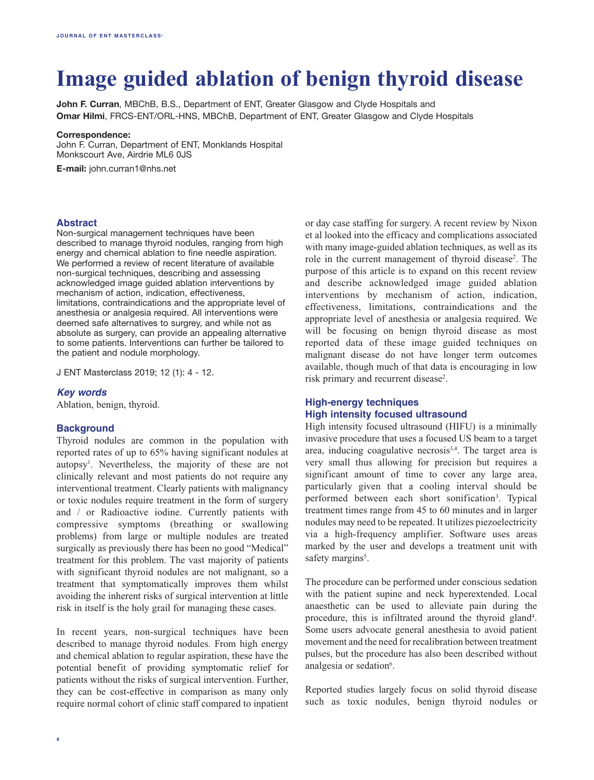# **Image guided ablation of benign thyroid disease**

**John F. Curran**, MBChB, B.S., Department of ENT, Greater Glasgow and Clyde Hospitals and **Omar Hilmi**, FRCS‑ENT/ORL-HNS, MBChB, Department of ENT, Greater Glasgow and Clyde Hospitals

#### **Correspondence:**

John F. Curran, Department of ENT, Monklands Hospital Monkscourt Ave, Airdrie ML6 0JS

**E-mail:** john.curran1@nhs.net

#### **Abstract**

Non-surgical management techniques have been described to manage thyroid nodules, ranging from high energy and chemical ablation to fine needle aspiration. We performed a review of recent literature of available non-surgical techniques, describing and assessing acknowledged image guided ablation interventions by mechanism of action, indication, effectiveness, limitations, contraindications and the appropriate level of anesthesia or analgesia required. All interventions were deemed safe alternatives to surgrey, and while not as absolute as surgery, can provide an appealing alternative to some patients. Interventions can further be tailored to the patient and nodule morphology.

J ENT Masterclass 2019; 12 (1): 4 - 12.

## *Key words*

Ablation, benign, thyroid.

#### **Background**

Thyroid nodules are common in the population with reported rates of up to 65% having significant nodules at autopsy1 . Nevertheless, the majority of these are not clinically relevant and most patients do not require any interventional treatment. Clearly patients with malignancy or toxic nodules require treatment in the form of surgery and / or Radioactive iodine. Currently patients with compressive symptoms (breathing or swallowing problems) from large or multiple nodules are treated surgically as previously there has been no good "Medical" treatment for this problem. The vast majority of patients with significant thyroid nodules are not malignant, so a treatment that symptomatically improves them whilst avoiding the inherent risks of surgical intervention at little risk in itself is the holy grail for managing these cases.

In recent years, non-surgical techniques have been described to manage thyroid nodules. From high energy and chemical ablation to regular aspiration, these have the potential benefit of providing symptomatic relief for patients without the risks of surgical intervention. Further, they can be cost-effective in comparison as many only require normal cohort of clinic staff compared to inpatient or day case staffing for surgery. A recent review by Nixon et al looked into the efficacy and complications associated with many image-guided ablation techniques, as well as its role in the current management of thyroid disease<sup>2</sup>. The purpose of this article is to expand on this recent review and describe acknowledged image guided ablation interventions by mechanism of action, indication, effectiveness, limitations, contraindications and the appropriate level of anesthesia or analgesia required. We will be focusing on benign thyroid disease as most reported data of these image guided techniques on malignant disease do not have longer term outcomes available, though much of that data is encouraging in low risk primary and recurrent disease<sup>2</sup>.

## **High-energy techniques High intensity focused ultrasound**

High intensity focused ultrasound (HIFU) is a minimally invasive procedure that uses a focused US beam to a target area, inducing coagulative necrosis3,4. The target area is very small thus allowing for precision but requires a significant amount of time to cover any large area, particularly given that a cooling interval should be performed between each short sonification<sup>3</sup>. Typical treatment times range from 45 to 60 minutes and in larger nodules may need to be repeated. It utilizes piezoelectricity via a high-frequency amplifier. Software uses areas marked by the user and develops a treatment unit with safety margins<sup>5</sup>.

The procedure can be performed under conscious sedation with the patient supine and neck hyperextended. Local anaesthetic can be used to alleviate pain during the procedure, this is infiltrated around the thyroid gland<sup>4</sup>. Some users advocate general anesthesia to avoid patient movement and the need for recalibration between treatment pulses, but the procedure has also been described without analgesia or sedation<sup>6</sup>.

Reported studies largely focus on solid thyroid disease such as toxic nodules, benign thyroid nodules or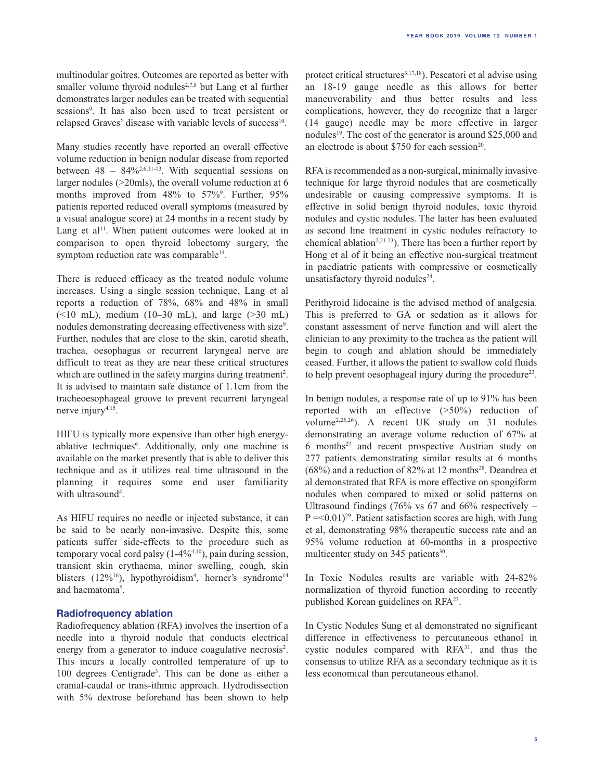multinodular goitres. Outcomes are reported as better with smaller volume thyroid nodules<sup>2,7,8</sup> but Lang et al further demonstrates larger nodules can be treated with sequential sessions<sup>9</sup>. It has also been used to treat persistent or relapsed Graves' disease with variable levels of success<sup>10</sup>.

Many studies recently have reported an overall effective volume reduction in benign nodular disease from reported between  $48 - 84\%^{2,6,11-13}$ . With sequential sessions on larger nodules (>20mls), the overall volume reduction at 6 months improved from 48% to 57%<sup>9</sup>. Further, 95% patients reported reduced overall symptoms (measured by a visual analogue score) at 24 months in a recent study by Lang et al<sup>11</sup>. When patient outcomes were looked at in comparison to open thyroid lobectomy surgery, the symptom reduction rate was comparable<sup>14</sup>.

There is reduced efficacy as the treated nodule volume increases. Using a single session technique, Lang et al reports a reduction of 78%, 68% and 48% in small  $(\leq 10$  mL), medium  $(10-30$  mL), and large  $(\geq 30$  mL) nodules demonstrating decreasing effectiveness with size<sup>9</sup>. Further, nodules that are close to the skin, carotid sheath, trachea, oesophagus or recurrent laryngeal nerve are difficult to treat as they are near these critical structures which are outlined in the safety margins during treatment<sup>2</sup>. It is advised to maintain safe distance of 1.1cm from the tracheoesophageal groove to prevent recurrent laryngeal nerve injury<sup>4,15</sup>.

HIFU is typically more expensive than other high energyablative techniques<sup>6</sup>. Additionally, only one machine is available on the market presently that is able to deliver this technique and as it utilizes real time ultrasound in the planning it requires some end user familiarity with ultrasound<sup>4</sup>.

As HIFU requires no needle or injected substance, it can be said to be nearly non-invasive. Despite this, some patients suffer side-effects to the procedure such as temporary vocal cord palsy (1-4%4,10), pain during session, transient skin erythaema, minor swelling, cough, skin blisters (12%<sup>16</sup>), hypothyroidism<sup>4</sup>, horner's syndrome<sup>14</sup> and haematoma<sup>5</sup>.

#### **Radiofrequency ablation**

Radiofrequency ablation (RFA) involves the insertion of a needle into a thyroid nodule that conducts electrical energy from a generator to induce coagulative necrosis<sup>2</sup>. This incurs a locally controlled temperature of up to 100 degrees Centigrade3 . This can be done as either a cranial-caudal or trans-ithmic approach. Hydrodissection with 5% dextrose beforehand has been shown to help

protect critical structures<sup>3,17,18</sup>). Pescatori et al advise using an 18-19 gauge needle as this allows for better maneuverability and thus better results and less complications, however, they do recognize that a larger (14 gauge) needle may be more effective in larger nodules<sup>19</sup>. The cost of the generator is around \$25,000 and an electrode is about \$750 for each session20.

RFA is recommended as a non-surgical, minimally invasive technique for large thyroid nodules that are cosmetically undesirable or causing compressive symptoms. It is effective in solid benign thyroid nodules, toxic thyroid nodules and cystic nodules. The latter has been evaluated as second line treatment in cystic nodules refractory to chemical ablation<sup>2,21-23</sup>). There has been a further report by Hong et al of it being an effective non-surgical treatment in paediatric patients with compressive or cosmetically unsatisfactory thyroid nodules $24$ .

Perithyroid lidocaine is the advised method of analgesia. This is preferred to GA or sedation as it allows for constant assessment of nerve function and will alert the clinician to any proximity to the trachea as the patient will begin to cough and ablation should be immediately ceased. Further, it allows the patient to swallow cold fluids to help prevent oesophageal injury during the procedure<sup>23</sup>.

In benign nodules, a response rate of up to 91% has been reported with an effective (>50%) reduction of volume2,25,26). A recent UK study on 31 nodules demonstrating an average volume reduction of 67% at 6 months<sup>27</sup> and recent prospective Austrian study on 277 patients demonstrating similar results at 6 months  $(68%)$  and a reduction of 82% at 12 months<sup>28</sup>. Deandrea et al demonstrated that RFA is more effective on spongiform nodules when compared to mixed or solid patterns on Ultrasound findings (76% vs 67 and 66% respectively –  $P = 0.01$ <sup>29</sup>. Patient satisfaction scores are high, with Jung et al, demonstrating 98% therapeutic success rate and an 95% volume reduction at 60-months in a prospective multicenter study on 345 patients<sup>30</sup>.

In Toxic Nodules results are variable with 24-82% normalization of thyroid function according to recently published Korean guidelines on RFA23.

In Cystic Nodules Sung et al demonstrated no significant difference in effectiveness to percutaneous ethanol in cystic nodules compared with RFA31, and thus the consensus to utilize RFA as a secondary technique as it is less economical than percutaneous ethanol.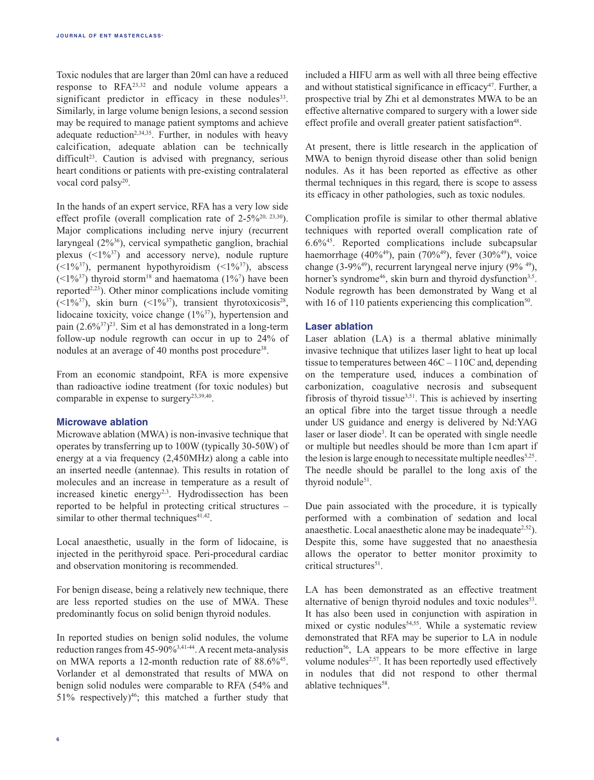Toxic nodules that are larger than 20ml can have a reduced response to RFA23,32 and nodule volume appears a significant predictor in efficacy in these nodules<sup>33</sup>. Similarly, in large volume benign lesions, a second session may be required to manage patient symptoms and achieve adequate reduction<sup>2,34,35</sup>. Further, in nodules with heavy calcification, adequate ablation can be technically  $difficult<sup>23</sup>$ . Caution is advised with pregnancy, serious heart conditions or patients with pre-existing contralateral vocal cord palsy<sup>20</sup>.

In the hands of an expert service, RFA has a very low side effect profile (overall complication rate of  $2-5\%^{20, 23,30}$ ). Major complications including nerve injury (recurrent laryngeal (2%36), cervical sympathetic ganglion, brachial plexus  $($ I $\frac{9}{37}$  and accessory nerve), nodule rupture  $(\leq 1\%^{37})$ , permanent hypothyroidism  $(\leq 1\%^{37})$ , abscess  $(\leq 1\%^{37})$  thyroid storm<sup>18</sup> and haematoma  $(1\%^{7})$  have been reported $2,23$ ). Other minor complications include vomiting ( $\leq$ 1%<sup>37</sup>), skin burn ( $\leq$ 1%<sup>37</sup>), transient thyrotoxicosis<sup>28</sup>, lidocaine toxicity, voice change (1%<sup>37</sup>), hypertension and pain (2.6%37) 23. Sim et al has demonstrated in a long-term follow-up nodule regrowth can occur in up to 24% of nodules at an average of 40 months post procedure<sup>38</sup>.

From an economic standpoint, RFA is more expensive than radioactive iodine treatment (for toxic nodules) but comparable in expense to surgery<sup>23,39,40</sup>.

## **Microwave ablation**

Microwave ablation (MWA) is non-invasive technique that operates by transferring up to 100W (typically 30-50W) of energy at a via frequency (2,450MHz) along a cable into an inserted needle (antennae). This results in rotation of molecules and an increase in temperature as a result of increased kinetic energy<sup>2,3</sup>. Hydrodissection has been reported to be helpful in protecting critical structures – similar to other thermal techniques $41,42$ .

Local anaesthetic, usually in the form of lidocaine, is injected in the perithyroid space. Peri-procedural cardiac and observation monitoring is recommended.

For benign disease, being a relatively new technique, there are less reported studies on the use of MWA. These predominantly focus on solid benign thyroid nodules.

In reported studies on benign solid nodules, the volume reduction ranges from 45-90%3,41-44. A recent meta-analysis on MWA reports a 12-month reduction rate of 88.6%<sup>45</sup>. Vorlander et al demonstrated that results of MWA on benign solid nodules were comparable to RFA (54% and 51% respectively)<sup>46</sup>; this matched a further study that

included a HIFU arm as well with all three being effective and without statistical significance in efficacy<sup>47</sup>. Further, a prospective trial by Zhi et al demonstrates MWA to be an effective alternative compared to surgery with a lower side effect profile and overall greater patient satisfaction<sup>48</sup>.

At present, there is little research in the application of MWA to benign thyroid disease other than solid benign nodules. As it has been reported as effective as other thermal techniques in this regard, there is scope to assess its efficacy in other pathologies, such as toxic nodules.

Complication profile is similar to other thermal ablative techniques with reported overall complication rate of 6.6%45. Reported complications include subcapsular haemorrhage (40%<sup>49</sup>), pain (70%<sup>49</sup>), fever (30%<sup>49</sup>), voice change (3-9%<sup>49</sup>), recurrent laryngeal nerve injury (9%<sup>49</sup>), horner's syndrome<sup>46</sup>, skin burn and thyroid dysfunction<sup>3,5</sup>. Nodule regrowth has been demonstrated by Wang et al with 16 of 110 patients experiencing this complication<sup>50</sup>.

## **Laser ablation**

Laser ablation (LA) is a thermal ablative minimally invasive technique that utilizes laser light to heat up local tissue to temperatures between 46C – 110C and, depending on the temperature used, induces a combination of carbonization, coagulative necrosis and subsequent fibrosis of thyroid tissue $3,51$ . This is achieved by inserting an optical fibre into the target tissue through a needle under US guidance and energy is delivered by Nd:YAG laser or laser diode3 . It can be operated with single needle or multiple but needles should be more than 1cm apart if the lesion is large enough to necessitate multiple needles<sup>5,25</sup>. The needle should be parallel to the long axis of the thyroid nodule<sup>51</sup>.

Due pain associated with the procedure, it is typically performed with a combination of sedation and local anaesthetic. Local anaesthetic alone may be inadequate<sup>2,52</sup>). Despite this, some have suggested that no anaesthesia allows the operator to better monitor proximity to critical structures<sup>51</sup>.

LA has been demonstrated as an effective treatment alternative of benign thyroid nodules and toxic nodules<sup>53</sup>. It has also been used in conjunction with aspiration in mixed or cystic nodules<sup>54,55</sup>. While a systematic review demonstrated that RFA may be superior to LA in nodule reduction<sup>56</sup>, LA appears to be more effective in large volume nodules<sup>2,57</sup>. It has been reportedly used effectively in nodules that did not respond to other thermal ablative techniques<sup>58</sup>.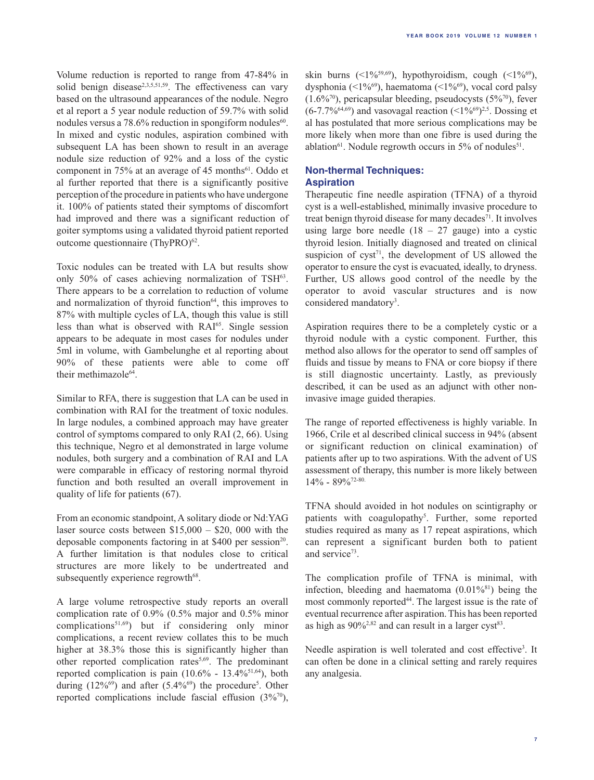Volume reduction is reported to range from 47-84% in solid benign disease<sup>2,3,5,51,59</sup>. The effectiveness can vary based on the ultrasound appearances of the nodule. Negro et al report a 5 year nodule reduction of 59.7% with solid nodules versus a  $78.6\%$  reduction in spongiform nodules<sup>60</sup>. In mixed and cystic nodules, aspiration combined with subsequent LA has been shown to result in an average nodule size reduction of 92% and a loss of the cystic component in  $75%$  at an average of 45 months<sup>61</sup>. Oddo et al further reported that there is a significantly positive perception of the procedure in patients who have undergone it. 100% of patients stated their symptoms of discomfort had improved and there was a significant reduction of goiter symptoms using a validated thyroid patient reported outcome questionnaire (ThyPRO) $62$ .

Toxic nodules can be treated with LA but results show only 50% of cases achieving normalization of  $TSH<sup>63</sup>$ . There appears to be a correlation to reduction of volume and normalization of thyroid function<sup>64</sup>, this improves to 87% with multiple cycles of LA, though this value is still less than what is observed with RAI65. Single session appears to be adequate in most cases for nodules under 5ml in volume, with Gambelunghe et al reporting about 90% of these patients were able to come off their methimazole<sup>64</sup>.

Similar to RFA, there is suggestion that LA can be used in combination with RAI for the treatment of toxic nodules. In large nodules, a combined approach may have greater control of symptoms compared to only RAI (2, 66). Using this technique, Negro et al demonstrated in large volume nodules, both surgery and a combination of RAI and LA were comparable in efficacy of restoring normal thyroid function and both resulted an overall improvement in quality of life for patients (67).

From an economic standpoint, A solitary diode or Nd:YAG laser source costs between \$15,000 – \$20, 000 with the deposable components factoring in at \$400 per session<sup>20</sup>. A further limitation is that nodules close to critical structures are more likely to be undertreated and subsequently experience regrowth<sup>68</sup>.

A large volume retrospective study reports an overall complication rate of 0.9% (0.5% major and 0.5% minor complications51,69) but if considering only minor complications, a recent review collates this to be much higher at 38.3% those this is significantly higher than other reported complication rates<sup>5,69</sup>. The predominant reported complication is pain  $(10.6\% - 13.4\%^{51,64})$ , both during  $(12\%^{69})$  and after  $(5.4\%^{69})$  the procedure<sup>5</sup>. Other reported complications include fascial effusion (3%70),

skin burns  $(1\%/59,69)}$ , hypothyroidism, cough  $(1\%/69)}$ , dysphonia (<1%<sup>69</sup>), haematoma (<1%<sup>69</sup>), vocal cord palsy  $(1.6\%^{70})$ , pericapsular bleeding, pseudocysts  $(5\%^{70})$ , fever  $(6-7.7\%/64,69})$  and vasovagal reaction  $(1\%/69)^{2,5}$ . Dossing et al has postulated that more serious complications may be more likely when more than one fibre is used during the ablation<sup>61</sup>. Nodule regrowth occurs in  $5\%$  of nodules<sup>51</sup>.

## **Non-thermal Techniques: Aspiration**

Therapeutic fine needle aspiration (TFNA) of a thyroid cyst is a well-established, minimally invasive procedure to treat benign thyroid disease for many decades<sup>71</sup>. It involves using large bore needle  $(18 - 27)$  gauge) into a cystic thyroid lesion. Initially diagnosed and treated on clinical suspicion of  $cyst^{71}$ , the development of US allowed the operator to ensure the cyst is evacuated, ideally, to dryness. Further, US allows good control of the needle by the operator to avoid vascular structures and is now considered mandatory<sup>3</sup>.

Aspiration requires there to be a completely cystic or a thyroid nodule with a cystic component. Further, this method also allows for the operator to send off samples of fluids and tissue by means to FNA or core biopsy if there is still diagnostic uncertainty. Lastly, as previously described, it can be used as an adjunct with other noninvasive image guided therapies.

The range of reported effectiveness is highly variable. In 1966, Crile et al described clinical success in 94% (absent or significant reduction on clinical examination) of patients after up to two aspirations. With the advent of US assessment of therapy, this number is more likely between  $14\% - 89\%$ <sup>72-80.</sup>

TFNA should avoided in hot nodules on scintigraphy or patients with coagulopathy<sup>5</sup>. Further, some reported studies required as many as 17 repeat aspirations, which can represent a significant burden both to patient and service<sup>73</sup>.

The complication profile of TFNA is minimal, with infection, bleeding and haematoma  $(0.01\%^{81})$  being the most commonly reported<sup>44</sup>. The largest issue is the rate of eventual recurrence after aspiration. This has been reported as high as  $90\%^{2,82}$  and can result in a larger cyst<sup>83</sup>.

Needle aspiration is well tolerated and cost effective<sup>3</sup>. It can often be done in a clinical setting and rarely requires any analgesia.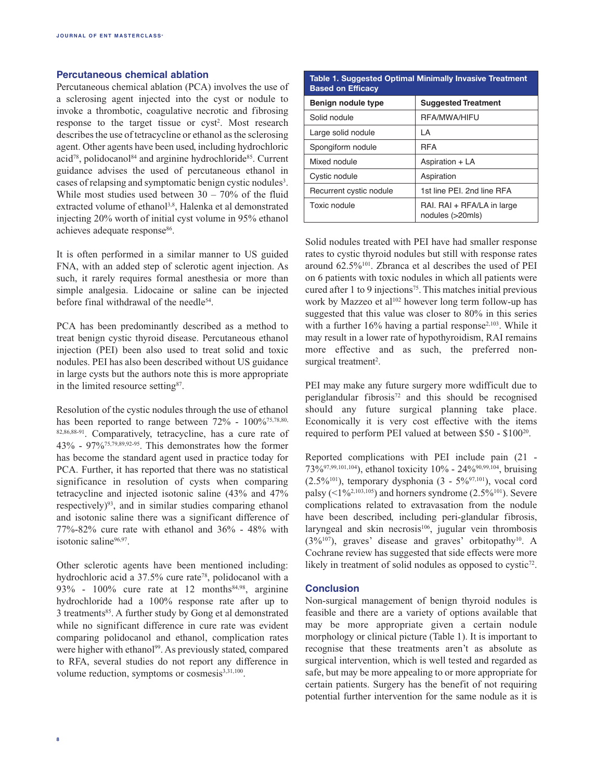## **Percutaneous chemical ablation**

Percutaneous chemical ablation (PCA) involves the use of a sclerosing agent injected into the cyst or nodule to invoke a thrombotic, coagulative necrotic and fibrosing response to the target tissue or cyst<sup>2</sup>. Most research describes the use of tetracycline or ethanol as the sclerosing agent. Other agents have been used, including hydrochloric acid<sup>78</sup>, polidocanol<sup>84</sup> and arginine hydrochloride<sup>85</sup>. Current guidance advises the used of percutaneous ethanol in cases of relapsing and symptomatic benign cystic nodules<sup>3</sup>. While most studies used between  $30 - 70\%$  of the fluid extracted volume of ethanol<sup>3,8</sup>, Halenka et al demonstrated injecting 20% worth of initial cyst volume in 95% ethanol achieves adequate response<sup>86</sup>.

It is often performed in a similar manner to US guided FNA, with an added step of sclerotic agent injection. As such, it rarely requires formal anesthesia or more than simple analgesia. Lidocaine or saline can be injected before final withdrawal of the needle<sup>54</sup>.

PCA has been predominantly described as a method to treat benign cystic thyroid disease. Percutaneous ethanol injection (PEI) been also used to treat solid and toxic nodules. PEI has also been described without US guidance in large cysts but the authors note this is more appropriate in the limited resource setting<sup>87</sup>.

Resolution of the cystic nodules through the use of ethanol has been reported to range between  $72\%$  -  $100\%$ <sup>75,78,80,</sup> 82,86,88-91. Comparatively, tetracycline, has a cure rate of 43% - 97%75,79,89,92-95. This demonstrates how the former has become the standard agent used in practice today for PCA. Further, it has reported that there was no statistical significance in resolution of cysts when comparing tetracycline and injected isotonic saline (43% and 47% respectively) $93$ , and in similar studies comparing ethanol and isotonic saline there was a significant difference of 77%-82% cure rate with ethanol and 36% - 48% with isotonic saline<sup>96,97</sup>.

Other sclerotic agents have been mentioned including: hydrochloric acid a 37.5% cure rate<sup>78</sup>, polidocanol with a 93% - 100% cure rate at 12 months<sup>84,98</sup>, arginine hydrochloride had a 100% response rate after up to 3 treatments<sup>85</sup>. A further study by Gong et al demonstrated while no significant difference in cure rate was evident comparing polidocanol and ethanol, complication rates were higher with ethanol<sup>99</sup>. As previously stated, compared to RFA, several studies do not report any difference in volume reduction, symptoms or cosmesis<sup>3,31,100</sup>.

| Table 1. Suggested Optimal Minimally Invasive Treatment<br><b>Based on Efficacy</b> |                                                |  |  |  |  |
|-------------------------------------------------------------------------------------|------------------------------------------------|--|--|--|--|
| Benign nodule type                                                                  | <b>Suggested Treatment</b>                     |  |  |  |  |
| Solid nodule                                                                        | <b>RFA/MWA/HIFU</b>                            |  |  |  |  |
| Large solid nodule                                                                  | ΙA                                             |  |  |  |  |
| Spongiform nodule                                                                   | <b>RFA</b>                                     |  |  |  |  |
| Mixed nodule                                                                        | Aspiration + LA                                |  |  |  |  |
| Cystic nodule                                                                       | Aspiration                                     |  |  |  |  |
| Recurrent cystic nodule                                                             | 1st line PEI, 2nd line RFA                     |  |  |  |  |
| Toxic nodule                                                                        | RAI. RAI + RFA/LA in large<br>nodules (>20mls) |  |  |  |  |

Solid nodules treated with PEI have had smaller response rates to cystic thyroid nodules but still with response rates around 62.5%101. Zbranca et al describes the used of PEI on 6 patients with toxic nodules in which all patients were cured after 1 to 9 injections<sup>75</sup>. This matches initial previous work by Mazzeo et al<sup>102</sup> however long term follow-up has suggested that this value was closer to 80% in this series with a further  $16\%$  having a partial response<sup>2,103</sup>. While it may result in a lower rate of hypothyroidism, RAI remains more effective and as such, the preferred nonsurgical treatment<sup>2</sup>.

PEI may make any future surgery more wdifficult due to periglandular fibrosis $72$  and this should be recognised should any future surgical planning take place. Economically it is very cost effective with the items required to perform PEI valued at between \$50 - \$100<sup>20</sup>.

Reported complications with PEI include pain (21 - 73%97,99,101,104), ethanol toxicity 10% - 24%90,99,104, bruising (2.5%<sup>101</sup>), temporary dysphonia (3 - 5%<sup>97,101</sup>), vocal cord palsy ( $\leq$ 1%<sup>2,103,105</sup>) and horners syndrome (2.5%<sup>101</sup>). Severe complications related to extravasation from the nodule have been described, including peri-glandular fibrosis, laryngeal and skin necrosis<sup>106</sup>, jugular vein thrombosis  $(3\%^{107})$ , graves' disease and graves' orbitopathy<sup>10</sup>. A Cochrane review has suggested that side effects were more likely in treatment of solid nodules as opposed to  $cystic<sup>72</sup>$ .

#### **Conclusion**

Non-surgical management of benign thyroid nodules is feasible and there are a variety of options available that may be more appropriate given a certain nodule morphology or clinical picture (Table 1). It is important to recognise that these treatments aren't as absolute as surgical intervention, which is well tested and regarded as safe, but may be more appealing to or more appropriate for certain patients. Surgery has the benefit of not requiring potential further intervention for the same nodule as it is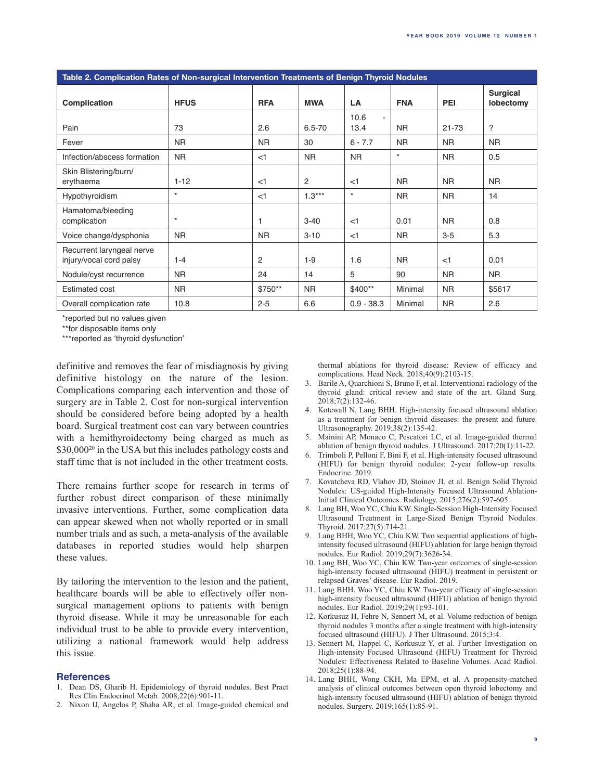| Table 2. Complication Rates of Non-surgical Intervention Treatments of Benign Thyroid Nodules |             |            |                |                    |                |            |                              |  |  |
|-----------------------------------------------------------------------------------------------|-------------|------------|----------------|--------------------|----------------|------------|------------------------------|--|--|
| Complication                                                                                  | <b>HFUS</b> | <b>RFA</b> | <b>MWA</b>     | LA                 | <b>FNA</b>     | <b>PEI</b> | <b>Surgical</b><br>lobectomy |  |  |
| Pain                                                                                          | 73          | 2.6        | $6.5 - 70$     | 10.6<br>÷.<br>13.4 | <b>NR</b>      | $21 - 73$  | $\overline{?}$               |  |  |
| Fever                                                                                         | <b>NR</b>   | <b>NR</b>  | 30             | $6 - 7.7$          | <b>NR</b>      | <b>NR</b>  | <b>NR</b>                    |  |  |
| Infection/abscess formation                                                                   | <b>NR</b>   | $<$ 1      | N <sub>R</sub> | <b>NR</b>          | $\star$        | <b>NR</b>  | 0.5                          |  |  |
| Skin Blistering/burn/<br>erythaema                                                            | $1 - 12$    | $<$ 1      | 2              | $<$ 1              | <b>NR</b>      | <b>NR</b>  | <b>NR</b>                    |  |  |
| Hypothyroidism                                                                                | $\star$     | $<$ 1      | $1.3***$       | $\star$            | <b>NR</b>      | <b>NR</b>  | 14                           |  |  |
| Hamatoma/bleeding<br>complication                                                             | $\star$     | 1          | $3 - 40$       | $<$ 1              | 0.01           | <b>NR</b>  | 0.8                          |  |  |
| Voice change/dysphonia                                                                        | <b>NR</b>   | <b>NR</b>  | $3 - 10$       | $<$ 1              | N <sub>R</sub> | $3-5$      | 5.3                          |  |  |
| Recurrent laryngeal nerve<br>injury/vocal cord palsy                                          | $1 - 4$     | 2          | $1-9$          | 1.6                | NR.            | $<$ 1      | 0.01                         |  |  |
| Nodule/cyst recurrence                                                                        | <b>NR</b>   | 24         | 14             | 5                  | 90             | <b>NR</b>  | <b>NR</b>                    |  |  |
| <b>Estimated cost</b>                                                                         | <b>NR</b>   | \$750**    | N <sub>R</sub> | \$400**            | Minimal        | <b>NR</b>  | \$5617                       |  |  |
| Overall complication rate                                                                     | 10.8        | $2 - 5$    | 6.6            | $0.9 - 38.3$       | Minimal        | <b>NR</b>  | 2.6                          |  |  |

\*reported but no values given

\*\*for disposable items only

\*\*\*reported as 'thyroid dysfunction'

definitive and removes the fear of misdiagnosis by giving definitive histology on the nature of the lesion. Complications comparing each intervention and those of surgery are in Table 2. Cost for non-surgical intervention should be considered before being adopted by a health board. Surgical treatment cost can vary between countries with a hemithyroidectomy being charged as much as \$30,000<sup>20</sup> in the USA but this includes pathology costs and staff time that is not included in the other treatment costs.

There remains further scope for research in terms of further robust direct comparison of these minimally invasive interventions. Further, some complication data can appear skewed when not wholly reported or in small number trials and as such, a meta-analysis of the available databases in reported studies would help sharpen these values.

By tailoring the intervention to the lesion and the patient, healthcare boards will be able to effectively offer nonsurgical management options to patients with benign thyroid disease. While it may be unreasonable for each individual trust to be able to provide every intervention, utilizing a national framework would help address this issue.

#### **References**

- 1. Dean DS, Gharib H. Epidemiology of thyroid nodules. Best Pract Res Clin Endocrinol Metab. 2008;22(6):901-11.
- 2. Nixon IJ, Angelos P, Shaha AR, et al. Image-guided chemical and

thermal ablations for thyroid disease: Review of efficacy and complications. Head Neck. 2018;40(9):2103-15.

- 3. Barile A, Quarchioni S, Bruno F, et al. Interventional radiology of the thyroid gland: critical review and state of the art. Gland Surg. 2018;7(2):132-46.
- 4. Kotewall N, Lang BHH. High-intensity focused ultrasound ablation as a treatment for benign thyroid diseases: the present and future. Ultrasonography. 2019;38(2):135-42.
- 5. Mainini AP, Monaco C, Pescatori LC, et al. Image-guided thermal ablation of benign thyroid nodules. J Ultrasound. 2017;20(1):11-22.
- 6. Trimboli P, Pelloni F, Bini F, et al. High-intensity focused ultrasound (HIFU) for benign thyroid nodules: 2-year follow-up results. Endocrine. 2019.
- 7. Kovatcheva RD, Vlahov JD, Stoinov JI, et al. Benign Solid Thyroid Nodules: US-guided High-Intensity Focused Ultrasound Ablation-Initial Clinical Outcomes. Radiology. 2015;276(2):597-605.
- 8. Lang BH, Woo YC, Chiu KW. Single-Session High-Intensity Focused Ultrasound Treatment in Large-Sized Benign Thyroid Nodules. Thyroid. 2017;27(5):714-21.
- 9. Lang BHH, Woo YC, Chiu KW. Two sequential applications of highintensity focused ultrasound (HIFU) ablation for large benign thyroid nodules. Eur Radiol. 2019;29(7):3626-34.
- 10. Lang BH, Woo YC, Chiu KW. Two-year outcomes of single-session high-intensity focused ultrasound (HIFU) treatment in persistent or relapsed Graves' disease. Eur Radiol. 2019.
- 11. Lang BHH, Woo YC, Chiu KW. Two-year efficacy of single-session high-intensity focused ultrasound (HIFU) ablation of benign thyroid nodules. Eur Radiol. 2019;29(1):93-101.
- 12. Korkusuz H, Fehre N, Sennert M, et al. Volume reduction of benign thyroid nodules 3 months after a single treatment with high-intensity focused ultrasound (HIFU). J Ther Ultrasound. 2015;3:4.
- 13. Sennert M, Happel C, Korkusuz Y, et al. Further Investigation on High-intensity Focused Ultrasound (HIFU) Treatment for Thyroid Nodules: Effectiveness Related to Baseline Volumes. Acad Radiol. 2018;25(1):88-94.
- 14. Lang BHH, Wong CKH, Ma EPM, et al. A propensity-matched analysis of clinical outcomes between open thyroid lobectomy and high-intensity focused ultrasound (HIFU) ablation of benign thyroid nodules. Surgery. 2019;165(1):85-91.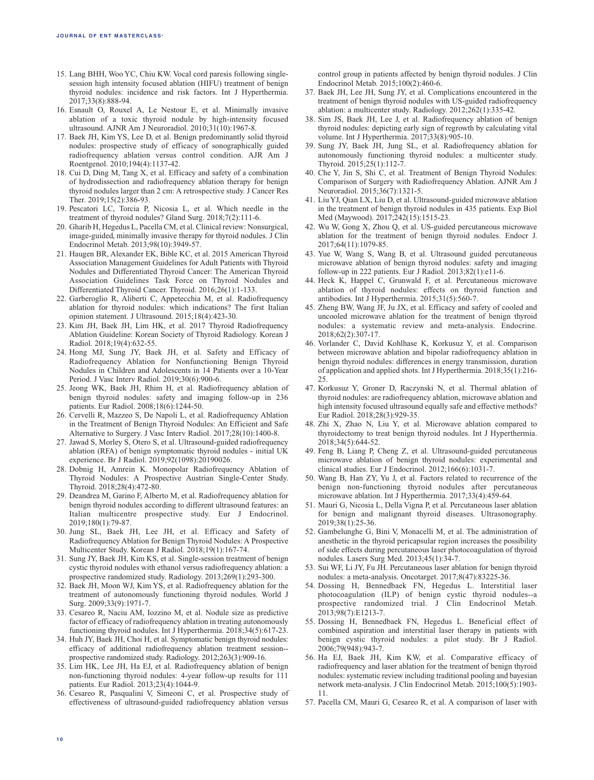- 15. Lang BHH, Woo YC, Chiu KW. Vocal cord paresis following singlesession high intensity focused ablation (HIFU) treatment of benign thyroid nodules: incidence and risk factors. Int J Hyperthermia. 2017;33(8):888-94.
- 16. Esnault O, Rouxel A, Le Nestour E, et al. Minimally invasive ablation of a toxic thyroid nodule by high-intensity focused ultrasound. AJNR Am J Neuroradiol. 2010;31(10):1967-8.
- 17. Baek JH, Kim YS, Lee D, et al. Benign predominantly solid thyroid nodules: prospective study of efficacy of sonographically guided radiofrequency ablation versus control condition. AJR Am J Roentgenol. 2010;194(4):1137-42.
- 18. Cui D, Ding M, Tang X, et al. Efficacy and safety of a combination of hydrodissection and radiofrequency ablation therapy for benign thyroid nodules larger than 2 cm: A retrospective study. J Cancer Res Ther. 2019;15(2):386-93.
- 19. Pescatori LC, Torcia P, Nicosia L, et al. Which needle in the treatment of thyroid nodules? Gland Surg. 2018;7(2):111-6.
- 20. Gharib H, Hegedus L, Pacella CM, et al. Clinical review: Nonsurgical, image-guided, minimally invasive therapy for thyroid nodules. J Clin Endocrinol Metab. 2013;98(10):3949-57.
- 21. Haugen BR, Alexander EK, Bible KC, et al. 2015 American Thyroid Association Management Guidelines for Adult Patients with Thyroid Nodules and Differentiated Thyroid Cancer: The American Thyroid Association Guidelines Task Force on Thyroid Nodules and Differentiated Thyroid Cancer. Thyroid. 2016;26(1):1-133.
- 22. Garberoglio R, Aliberti C, Appetecchia M, et al. Radiofrequency ablation for thyroid nodules: which indications? The first Italian opinion statement. J Ultrasound. 2015;18(4):423-30.
- 23. Kim JH, Baek JH, Lim HK, et al. 2017 Thyroid Radiofrequency Ablation Guideline: Korean Society of Thyroid Radiology. Korean J Radiol. 2018;19(4):632-55.
- 24. Hong MJ, Sung JY, Baek JH, et al. Safety and Efficacy of Radiofrequency Ablation for Nonfunctioning Benign Thyroid Nodules in Children and Adolescents in 14 Patients over a 10-Year Period. J Vasc Interv Radiol. 2019;30(6):900-6.
- 25. Jeong WK, Baek JH, Rhim H, et al. Radiofrequency ablation of benign thyroid nodules: safety and imaging follow-up in 236 patients. Eur Radiol. 2008;18(6):1244-50.
- 26. Cervelli R, Mazzeo S, De Napoli L, et al. Radiofrequency Ablation in the Treatment of Benign Thyroid Nodules: An Efficient and Safe Alternative to Surgery. J Vasc Interv Radiol. 2017;28(10):1400-8.
- 27. Jawad S, Morley S, Otero S, et al. Ultrasound-guided radiofrequency ablation (RFA) of benign symptomatic thyroid nodules - initial UK experience. Br J Radiol. 2019;92(1098):20190026.
- 28. Dobnig H, Amrein K. Monopolar Radiofrequency Ablation of Thyroid Nodules: A Prospective Austrian Single-Center Study. Thyroid. 2018;28(4):472-80.
- 29. Deandrea M, Garino F, Alberto M, et al. Radiofrequency ablation for benign thyroid nodules according to different ultrasound features: an Italian multicentre prospective study. Eur J Endocrinol. 2019;180(1):79-87.
- 30. Jung SL, Baek JH, Lee JH, et al. Efficacy and Safety of Radiofrequency Ablation for Benign Thyroid Nodules: A Prospective Multicenter Study. Korean J Radiol. 2018;19(1):167-74.
- 31. Sung JY, Baek JH, Kim KS, et al. Single-session treatment of benign cystic thyroid nodules with ethanol versus radiofrequency ablation: a prospective randomized study. Radiology. 2013;269(1):293-300.
- 32. Baek JH, Moon WJ, Kim YS, et al. Radiofrequency ablation for the treatment of autonomously functioning thyroid nodules. World J Surg. 2009;33(9):1971-7.
- 33. Cesareo R, Naciu AM, Iozzino M, et al. Nodule size as predictive factor of efficacy of radiofrequency ablation in treating autonomously functioning thyroid nodules. Int J Hyperthermia. 2018;34(5):617-23.
- 34. Huh JY, Baek JH, Choi H, et al. Symptomatic benign thyroid nodules: efficacy of additional radiofrequency ablation treatment session- prospective randomized study. Radiology. 2012;263(3):909-16.
- 35. Lim HK, Lee JH, Ha EJ, et al. Radiofrequency ablation of benign non-functioning thyroid nodules: 4-year follow-up results for 111 patients. Eur Radiol. 2013;23(4):1044-9.
- 36. Cesareo R, Pasqualini V, Simeoni C, et al. Prospective study of effectiveness of ultrasound-guided radiofrequency ablation versus

control group in patients affected by benign thyroid nodules. J Clin Endocrinol Metab. 2015;100(2):460-6.

- 37. Baek JH, Lee JH, Sung JY, et al. Complications encountered in the treatment of benign thyroid nodules with US-guided radiofrequency ablation: a multicenter study. Radiology. 2012;262(1):335-42.
- 38. Sim JS, Baek JH, Lee J, et al. Radiofrequency ablation of benign thyroid nodules: depicting early sign of regrowth by calculating vital volume. Int J Hyperthermia. 2017;33(8):905-10.
- 39. Sung JY, Baek JH, Jung SL, et al. Radiofrequency ablation for autonomously functioning thyroid nodules: a multicenter study. Thyroid. 2015;25(1):112-7.
- 40. Che Y, Jin S, Shi C, et al. Treatment of Benign Thyroid Nodules: Comparison of Surgery with Radiofrequency Ablation. AJNR Am J Neuroradiol. 2015;36(7):1321-5.
- 41. Liu YJ, Qian LX, Liu D, et al. Ultrasound-guided microwave ablation in the treatment of benign thyroid nodules in 435 patients. Exp Biol Med (Maywood). 2017;242(15):1515-23.
- 42. Wu W, Gong X, Zhou Q, et al. US-guided percutaneous microwave ablation for the treatment of benign thyroid nodules. Endocr J. 2017;64(11):1079-85.
- 43. Yue W, Wang S, Wang B, et al. Ultrasound guided percutaneous microwave ablation of benign thyroid nodules: safety and imaging follow-up in 222 patients. Eur J Radiol. 2013;82(1):e11-6.
- 44. Heck K, Happel C, Grunwald F, et al. Percutaneous microwave ablation of thyroid nodules: effects on thyroid function and antibodies. Int J Hyperthermia. 2015;31(5):560-7.
- 45. Zheng BW, Wang JF, Ju JX, et al. Efficacy and safety of cooled and uncooled microwave ablation for the treatment of benign thyroid nodules: a systematic review and meta-analysis. Endocrine. 2018;62(2):307-17.
- 46. Vorlander C, David Kohlhase K, Korkusuz Y, et al. Comparison between microwave ablation and bipolar radiofrequency ablation in benign thyroid nodules: differences in energy transmission, duration of application and applied shots. Int J Hyperthermia. 2018;35(1):216- 25.
- 47. Korkusuz Y, Groner D, Raczynski N, et al. Thermal ablation of thyroid nodules: are radiofrequency ablation, microwave ablation and high intensity focused ultrasound equally safe and effective methods? Eur Radiol. 2018;28(3):929-35.
- 48. Zhi X, Zhao N, Liu Y, et al. Microwave ablation compared to thyroidectomy to treat benign thyroid nodules. Int J Hyperthermia. 2018;34(5):644-52.
- 49. Feng B, Liang P, Cheng Z, et al. Ultrasound-guided percutaneous microwave ablation of benign thyroid nodules: experimental and clinical studies. Eur J Endocrinol. 2012;166(6):1031-7.
- 50. Wang B, Han ZY, Yu J, et al. Factors related to recurrence of the benign non-functioning thyroid nodules after percutaneous microwave ablation. Int J Hyperthermia. 2017;33(4):459-64.
- 51. Mauri G, Nicosia L, Della Vigna P, et al. Percutaneous laser ablation for benign and malignant thyroid diseases. Ultrasonography. 2019;38(1):25-36.
- 52. Gambelunghe G, Bini V, Monacelli M, et al. The administration of anesthetic in the thyroid pericapsular region increases the possibility of side effects during percutaneous laser photocoagulation of thyroid nodules. Lasers Surg Med. 2013;45(1):34-7.
- 53. Sui WF, Li JY, Fu JH. Percutaneous laser ablation for benign thyroid nodules: a meta-analysis. Oncotarget. 2017;8(47):83225-36.
- 54. Dossing H, Bennedbaek FN, Hegedus L. Interstitial laser photocoagulation (ILP) of benign cystic thyroid nodules--a prospective randomized trial. J Clin Endocrinol Metab. 2013;98(7):E1213-7.
- 55. Dossing H, Bennedbaek FN, Hegedus L. Beneficial effect of combined aspiration and interstitial laser therapy in patients with benign cystic thyroid nodules: a pilot study. Br J Radiol. 2006;79(948):943-7.
- 56. Ha EJ, Baek JH, Kim KW, et al. Comparative efficacy of radiofrequency and laser ablation for the treatment of benign thyroid nodules: systematic review including traditional pooling and bayesian network meta-analysis. J Clin Endocrinol Metab. 2015;100(5):1903- 11.
- 57. Pacella CM, Mauri G, Cesareo R, et al. A comparison of laser with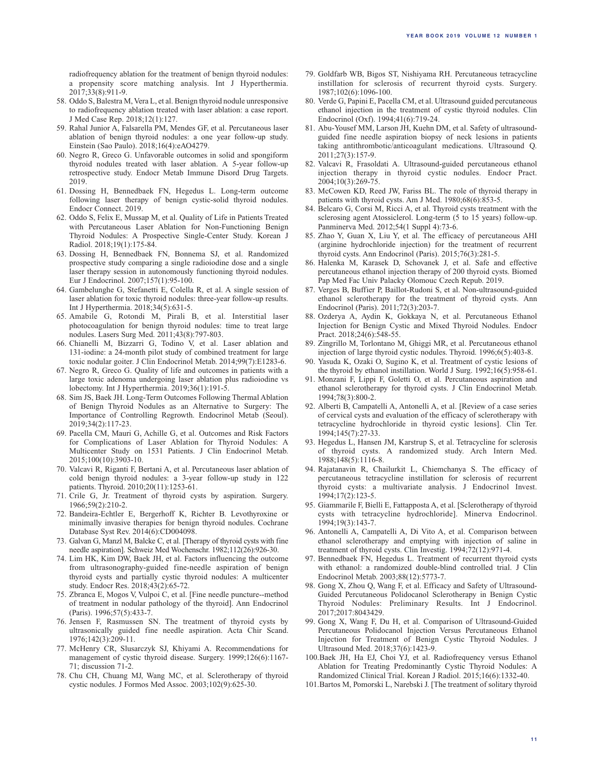radiofrequency ablation for the treatment of benign thyroid nodules: a propensity score matching analysis. Int J Hyperthermia. 2017;33(8):911-9.

- 58. Oddo S, Balestra M, Vera L, et al. Benign thyroid nodule unresponsive to radiofrequency ablation treated with laser ablation: a case report. J Med Case Rep. 2018;12(1):127.
- 59. Rahal Junior A, Falsarella PM, Mendes GF, et al. Percutaneous laser ablation of benign thyroid nodules: a one year follow-up study. Einstein (Sao Paulo). 2018;16(4):eAO4279.
- 60. Negro R, Greco G. Unfavorable outcomes in solid and spongiform thyroid nodules treated with laser ablation. A 5-year follow-up retrospective study. Endocr Metab Immune Disord Drug Targets. 2019.
- 61. Dossing H, Bennedbaek FN, Hegedus L. Long-term outcome following laser therapy of benign cystic-solid thyroid nodules. Endocr Connect. 2019.
- 62. Oddo S, Felix E, Mussap M, et al. Quality of Life in Patients Treated with Percutaneous Laser Ablation for Non-Functioning Benign Thyroid Nodules: A Prospective Single-Center Study. Korean J Radiol. 2018;19(1):175-84.
- 63. Dossing H, Bennedbaek FN, Bonnema SJ, et al. Randomized prospective study comparing a single radioiodine dose and a single laser therapy session in autonomously functioning thyroid nodules. Eur J Endocrinol. 2007;157(1):95-100.
- 64. Gambelunghe G, Stefanetti E, Colella R, et al. A single session of laser ablation for toxic thyroid nodules: three-year follow-up results. Int J Hyperthermia. 2018;34(5):631-5.
- 65. Amabile G, Rotondi M, Pirali B, et al. Interstitial laser photocoagulation for benign thyroid nodules: time to treat large nodules. Lasers Surg Med. 2011;43(8):797-803.
- 66. Chianelli M, Bizzarri G, Todino V, et al. Laser ablation and 131-iodine: a 24-month pilot study of combined treatment for large toxic nodular goiter. J Clin Endocrinol Metab. 2014;99(7):E1283-6.
- 67. Negro R, Greco G. Quality of life and outcomes in patients with a large toxic adenoma undergoing laser ablation plus radioiodine vs lobectomy. Int J Hyperthermia. 2019;36(1):191-5.
- 68. Sim JS, Baek JH. Long-Term Outcomes Following Thermal Ablation of Benign Thyroid Nodules as an Alternative to Surgery: The Importance of Controlling Regrowth. Endocrinol Metab (Seoul). 2019;34(2):117-23.
- 69. Pacella CM, Mauri G, Achille G, et al. Outcomes and Risk Factors for Complications of Laser Ablation for Thyroid Nodules: A Multicenter Study on 1531 Patients. J Clin Endocrinol Metab. 2015;100(10):3903-10.
- 70. Valcavi R, Riganti F, Bertani A, et al. Percutaneous laser ablation of cold benign thyroid nodules: a 3-year follow-up study in 122 patients. Thyroid. 2010;20(11):1253-61.
- 71. Crile G, Jr. Treatment of thyroid cysts by aspiration. Surgery. 1966;59(2):210-2.
- 72. Bandeira-Echtler E, Bergerhoff K, Richter B. Levothyroxine or minimally invasive therapies for benign thyroid nodules. Cochrane Database Syst Rev. 2014(6):CD004098.
- 73. Galvan G, Manzl M, Balcke C, et al. [Therapy of thyroid cysts with fine needle aspiration]. Schweiz Med Wochenschr. 1982;112(26):926-30.
- 74. Lim HK, Kim DW, Baek JH, et al. Factors influencing the outcome from ultrasonography-guided fine-needle aspiration of benign thyroid cysts and partially cystic thyroid nodules: A multicenter study. Endocr Res. 2018;43(2):65-72.
- 75. Zbranca E, Mogos V, Vulpoi C, et al. [Fine needle puncture--method of treatment in nodular pathology of the thyroid]. Ann Endocrinol (Paris). 1996;57(5):433-7.
- 76. Jensen F, Rasmussen SN. The treatment of thyroid cysts by ultrasonically guided fine needle aspiration. Acta Chir Scand. 1976;142(3):209-11.
- 77. McHenry CR, Slusarczyk SJ, Khiyami A. Recommendations for management of cystic thyroid disease. Surgery. 1999;126(6):1167- 71; discussion 71-2.
- 78. Chu CH, Chuang MJ, Wang MC, et al. Sclerotherapy of thyroid cystic nodules. J Formos Med Assoc. 2003;102(9):625-30.
- 79. Goldfarb WB, Bigos ST, Nishiyama RH. Percutaneous tetracycline instillation for sclerosis of recurrent thyroid cysts. Surgery. 1987;102(6):1096-100.
- 80. Verde G, Papini E, Pacella CM, et al. Ultrasound guided percutaneous ethanol injection in the treatment of cystic thyroid nodules. Clin Endocrinol (Oxf). 1994;41(6):719-24.
- 81. Abu-Yousef MM, Larson JH, Kuehn DM, et al. Safety of ultrasoundguided fine needle aspiration biopsy of neck lesions in patients taking antithrombotic/anticoagulant medications. Ultrasound Q. 2011;27(3):157-9.
- 82. Valcavi R, Frasoldati A. Ultrasound-guided percutaneous ethanol injection therapy in thyroid cystic nodules. Endocr Pract. 2004;10(3):269-75.
- 83. McCowen KD, Reed JW, Fariss BL. The role of thyroid therapy in patients with thyroid cysts. Am J Med. 1980;68(6):853-5.
- 84. Belcaro G, Corsi M, Ricci A, et al. Thyroid cysts treatment with the sclerosing agent Atossiclerol. Long-term (5 to 15 years) follow-up. Panminerva Med. 2012;54(1 Suppl 4):73-6.
- 85. Zhao Y, Guan X, Liu Y, et al. The efficacy of percutaneous AHI (arginine hydrochloride injection) for the treatment of recurrent thyroid cysts. Ann Endocrinol (Paris). 2015;76(3):281-5.
- 86. Halenka M, Karasek D, Schovanek J, et al. Safe and effective percutaneous ethanol injection therapy of 200 thyroid cysts. Biomed Pap Med Fac Univ Palacky Olomouc Czech Repub. 2019.
- 87. Verges B, Buffier P, Baillot-Rudoni S, et al. Non-ultrasound-guided ethanol sclerotherapy for the treatment of thyroid cysts. Ann Endocrinol (Paris). 2011;72(3):203-7.
- 88. Ozderya A, Aydin K, Gokkaya N, et al. Percutaneous Ethanol Injection for Benign Cystic and Mixed Thyroid Nodules. Endocr Pract. 2018;24(6):548-55.
- 89. Zingrillo M, Torlontano M, Ghiggi MR, et al. Percutaneous ethanol injection of large thyroid cystic nodules. Thyroid. 1996;6(5):403-8.
- 90. Yasuda K, Ozaki O, Sugino K, et al. Treatment of cystic lesions of the thyroid by ethanol instillation. World J Surg. 1992;16(5):958-61.
- 91. Monzani F, Lippi F, Goletti O, et al. Percutaneous aspiration and ethanol sclerotherapy for thyroid cysts. J Clin Endocrinol Metab. 1994;78(3):800-2.
- 92. Alberti B, Campatelli A, Antonelli A, et al. [Review of a case series of cervical cysts and evaluation of the efficacy of sclerotherapy with tetracycline hydrochloride in thyroid cystic lesions]. Clin Ter. 1994;145(7):27-33.
- 93. Hegedus L, Hansen JM, Karstrup S, et al. Tetracycline for sclerosis of thyroid cysts. A randomized study. Arch Intern Med. 1988;148(5):1116-8.
- 94. Rajatanavin R, Chailurkit L, Chiemchanya S. The efficacy of percutaneous tetracycline instillation for sclerosis of recurrent thyroid cysts: a multivariate analysis. J Endocrinol Invest. 1994;17(2):123-5.
- 95. Giammarile F, Bielli E, Fattapposta A, et al. [Sclerotherapy of thyroid cysts with tetracycline hydrochloride]. Minerva Endocrinol. 1994;19(3):143-7.
- 96. Antonelli A, Campatelli A, Di Vito A, et al. Comparison between ethanol sclerotherapy and emptying with injection of saline in treatment of thyroid cysts. Clin Investig. 1994;72(12):971-4.
- 97. Bennedbaek FN, Hegedus L. Treatment of recurrent thyroid cysts with ethanol: a randomized double-blind controlled trial. J Clin Endocrinol Metab. 2003;88(12):5773-7.
- 98. Gong X, Zhou Q, Wang F, et al. Efficacy and Safety of Ultrasound-Guided Percutaneous Polidocanol Sclerotherapy in Benign Cystic Thyroid Nodules: Preliminary Results. Int J Endocrinol. 2017;2017:8043429.
- 99. Gong X, Wang F, Du H, et al. Comparison of Ultrasound-Guided Percutaneous Polidocanol Injection Versus Percutaneous Ethanol Injection for Treatment of Benign Cystic Thyroid Nodules. J Ultrasound Med. 2018;37(6):1423-9.
- 100.Baek JH, Ha EJ, Choi YJ, et al. Radiofrequency versus Ethanol Ablation for Treating Predominantly Cystic Thyroid Nodules: A Randomized Clinical Trial. Korean J Radiol. 2015;16(6):1332-40.
- 101.Bartos M, Pomorski L, Narebski J. [The treatment of solitary thyroid